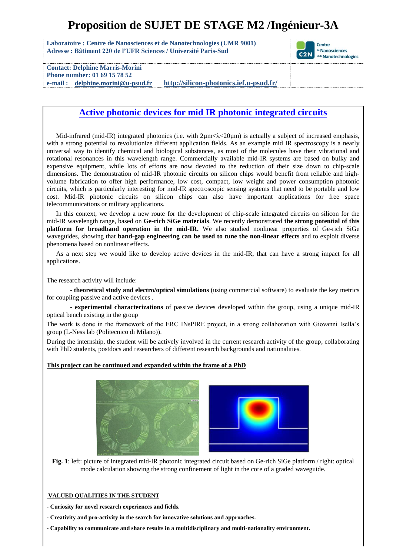# **Proposition de SUJET DE STAGE M2 /Ingénieur-3A**

**Laboratoire : Centre de Nanosciences et de Nanotechnologies (UMR 9001) Adresse : Bâtiment 220 de l'UFR Sciences / Université Paris-Sud**



**Contact: Delphine Marris-Morini Phone number: 01 69 15 78 52**

**e-mail : delphine.morini@u-psud.fr <http://silicon-photonics.ief.u-psud.fr/>**

## **Active photonic devices for mid IR photonic integrated circuits**

Mid-infrared (mid-IR) integrated photonics (i.e. with  $2\mu$ m $\lt$  $\lambda$  $\lt$  $20\mu$ m) is actually a subject of increased emphasis, with a strong potential to revolutionize different application fields. As an example mid IR spectroscopy is a nearly universal way to identify chemical and biological substances, as most of the molecules have their vibrational and rotational resonances in this wavelength range. Commercially available mid-IR systems are based on bulky and expensive equipment, while lots of efforts are now devoted to the reduction of their size down to chip-scale dimensions. The demonstration of mid-IR photonic circuits on silicon chips would benefit from reliable and highvolume fabrication to offer high performance, low cost, compact, low weight and power consumption photonic circuits, which is particularly interesting for mid-IR spectroscopic sensing systems that need to be portable and low cost. Mid-IR photonic circuits on silicon chips can also have important applications for free space telecommunications or military applications.

In this context, we develop a new route for the development of chip-scale integrated circuits on silicon for the mid-IR wavelength range, based on **Ge-rich SiGe materials**. We recently demonstrated **the strong potential of this platform for broadband operation in the mid-IR.** We also studied nonlinear properties of Ge-rich SiGe waveguides, showing that **band-gap engineering can be used to tune the non-linear effects** and to exploit diverse phenomena based on nonlinear effects.

As a next step we would like to develop active devices in the mid-IR, that can have a strong impact for all applications.

The research activity will include:

- **theoretical study and electro/optical simulations** (using commercial software) to evaluate the key metrics for coupling passive and active devices .

- **experimental characterizations** of passive devices developed within the group, using a unique mid-IR optical bench existing in the group

The work is done in the framework of the ERC INsPIRE project, in a strong collaboration with Giovanni Isella's group (L-Ness lab (Politecnico di Milano)).

During the internship, the student will be actively involved in the current research activity of the group, collaborating with PhD students, postdocs and researchers of different research backgrounds and nationalities.

### **This project can be continued and expanded within the frame of a PhD**



**Fig. 1**: left: picture of integrated mid-IR photonic integrated circuit based on Ge-rich SiGe platform / right: optical mode calculation showing the strong confinement of light in the core of a graded waveguide.

### **VALUED QUALITIES IN THE STUDENT**

**- Curiosity for novel research experiences and fields.**

**- Creativity and pro-activity in the search for innovative solutions and approaches.**

**- Capability to communicate and share results in a multidisciplinary and multi-nationality environment.**